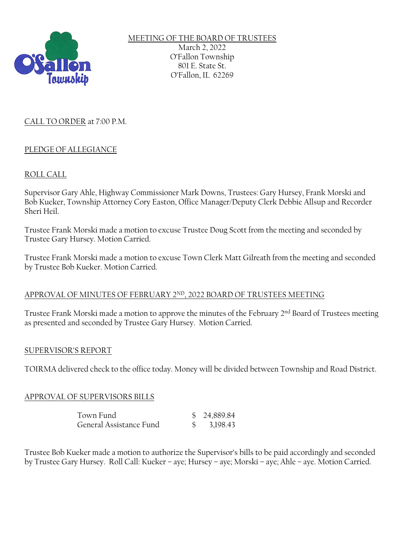

MEETING OF THE BOARD OF TRUSTEES March 2, 2022 O'Fallon Township 801 E. State St. O'Fallon, IL 62269

# CALL TO ORDER at 7:00 P.M.

# PLEDGE OF ALLEGIANCE

# ROLL CALL

Supervisor Gary Ahle, Highway Commissioner Mark Downs, Trustees: Gary Hursey, Frank Morski and Bob Kueker, Township Attorney Cory Easton, Office Manager/Deputy Clerk Debbie Allsup and Recorder Sheri Heil.

Trustee Frank Morski made a motion to excuse Trustee Doug Scott from the meeting and seconded by Trustee Gary Hursey. Motion Carried.

Trustee Frank Morski made a motion to excuse Town Clerk Matt Gilreath from the meeting and seconded by Trustee Bob Kueker. Motion Carried.

## APPROVAL OF MINUTES OF FEBRUARY 2ND, 2022 BOARD OF TRUSTEES MEETING

Trustee Frank Morski made a motion to approve the minutes of the February 2nd Board of Trustees meeting as presented and seconded by Trustee Gary Hursey. Motion Carried.

## SUPERVISOR'S REPORT

TOIRMA delivered check to the office today. Money will be divided between Township and Road District.

## APPROVAL OF SUPERVISORS BILLS

| Town Fund               | \$24,889.84 |
|-------------------------|-------------|
| General Assistance Fund | \$3,198.43  |

Trustee Bob Kueker made a motion to authorize the Supervisor's bills to be paid accordingly and seconded by Trustee Gary Hursey. Roll Call: Kueker – aye; Hursey – aye; Morski – aye; Ahle – aye. Motion Carried.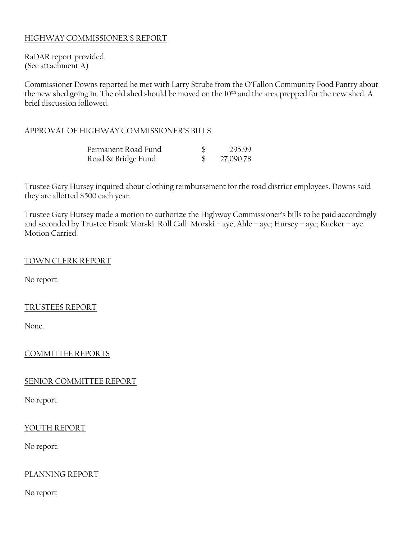# HIGHWAY COMMISSIONER'S REPORT

RaDAR report provided. (See attachment A)

Commissioner Downs reported he met with Larry Strube from the O'Fallon Community Food Pantry about the new shed going in. The old shed should be moved on the 10th and the area prepped for the new shed. A brief discussion followed.

### APPROVAL OF HIGHWAY COMMISSIONER'S BILLS

| Permanent Road Fund | 295.99    |
|---------------------|-----------|
| Road & Bridge Fund  | 27,090.78 |

Trustee Gary Hursey inquired about clothing reimbursement for the road district employees. Downs said they are allotted \$500 each year.

Trustee Gary Hursey made a motion to authorize the Highway Commissioner's bills to be paid accordingly and seconded by Trustee Frank Morski. Roll Call: Morski – aye; Ahle – aye; Hursey – aye; Kueker – aye. Motion Carried.

#### TOWN CLERK REPORT

No report.

#### TRUSTEES REPORT

None.

## COMMITTEE REPORTS

#### SENIOR COMMITTEE REPORT

No report.

#### YOUTH REPORT

No report.

## PLANNING REPORT

No report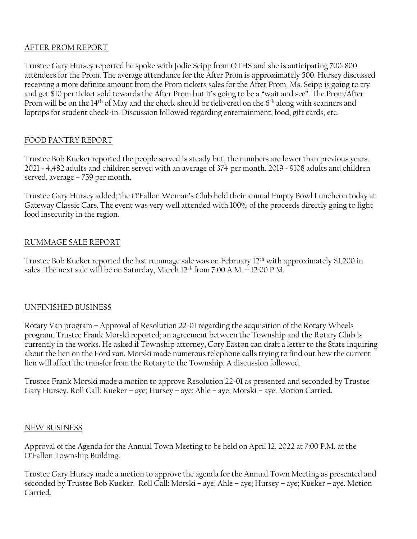# AFTER PROM REPORT

Trustee Gary Hursey reported he spoke with Jodie Seipp from OTHS and she is anticipating 700-800 attendees for the Prom. The average attendance for the After Prom is approximately 500. Hursey discussed receiving a more definite amount from the Prom tickets sales for the After Prom. Ms. Seipp is going to try and get \$10 per ticket sold towards the After Prom but it's going to be a "wait and see". The Prom/After Prom will be on the 14<sup>th</sup> of May and the check should be delivered on the 6<sup>th</sup> along with scanners and laptops for student check-in. Discussion followed regarding entertainment, food, gift cards, etc.

# FOOD PANTRY REPORT

Trustee Bob Kueker reported the people served is steady but, the numbers are lower than previous years. 2021 - 4,482 adults and children served with an average of 374 per month. 2019 - 9108 adults and children served, average – 759 per month.

Trustee Gary Hursey added; the O'Fallon Woman's Club held their annual Empty Bowl Luncheon today at Gateway Classic Cars. The event was very well attended with 100% of the proceeds directly going to fight food insecurity in the region.

# RUMMAGE SALE REPORT

Trustee Bob Kueker reported the last rummage sale was on February 12<sup>th</sup> with approximately \$1,200 in sales. The next sale will be on Saturday, March  $12<sup>th</sup>$  from  $7:00$  A.M.  $-12:00$  P.M.

## UNFINISHED BUSINESS

Rotary Van program – Approval of Resolution 22-01 regarding the acquisition of the Rotary Wheels program. Trustee Frank Morski reported; an agreement between the Township and the Rotary Club is currently in the works. He asked if Township attorney, Cory Easton can draft a letter to the State inquiring about the lien on the Ford van. Morski made numerous telephone calls trying to find out how the current lien will affect the transfer from the Rotary to the Township. A discussion followed.

Trustee Frank Morski made a motion to approve Resolution 22-01 as presented and seconded by Trustee Gary Hursey. Roll Call: Kueker – aye; Hursey – aye; Ahle – aye; Morski – aye. Motion Carried.

#### NEW BUSINESS

Approval of the Agenda for the Annual Town Meeting to be held on April 12, 2022 at 7:00 P.M. at the O'Fallon Township Building.

Trustee Gary Hursey made a motion to approve the agenda for the Annual Town Meeting as presented and seconded by Trustee Bob Kueker. Roll Call: Morski – aye; Ahle – aye; Hursey – aye; Kueker – aye. Motion Carried.